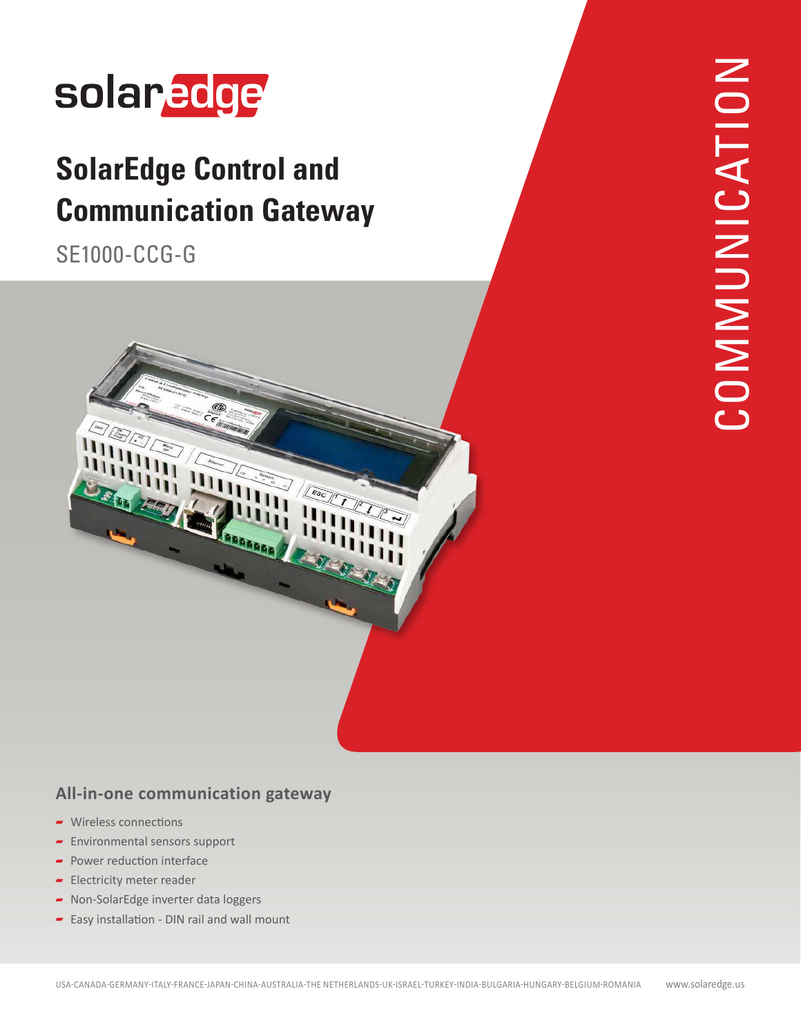

## **SolarEdge Control and Communication Gateway**

SE1000-CCG-G



#### **All-in-one communication gateway**

- Wireless connections
- **Environmental sensors support**
- $\blacksquare$  Power reduction interface
- Electricity meter reader
- Non-SolarEdge inverter data loggers
- $\blacksquare$  Easy installation DIN rail and wall mount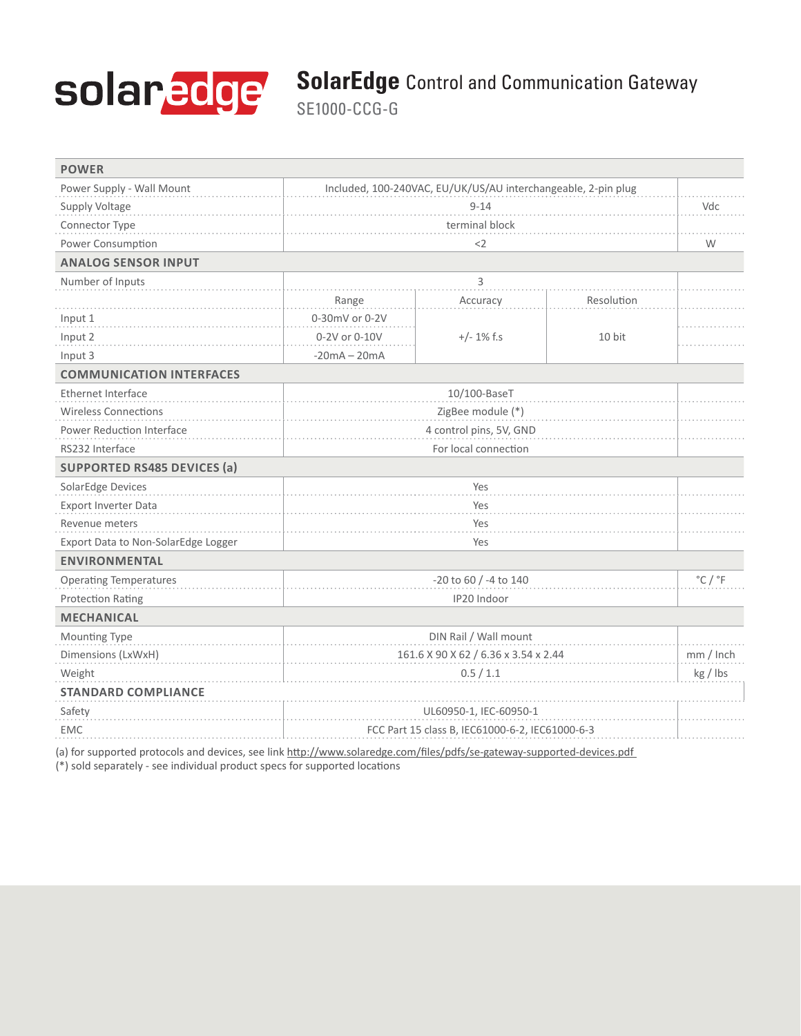# solaredge

### **SolarEdge** Control and Communication Gateway

SE1000-CCG-G

| <b>POWER</b>                                                                                                           |                                                               |                       |            |                             |
|------------------------------------------------------------------------------------------------------------------------|---------------------------------------------------------------|-----------------------|------------|-----------------------------|
| Power Supply - Wall Mount                                                                                              | Included, 100-240VAC, EU/UK/US/AU interchangeable, 2-pin plug |                       |            |                             |
| Supply Voltage                                                                                                         | $9 - 14$                                                      |                       |            | Vdc                         |
| Connector Type                                                                                                         | terminal block                                                |                       |            |                             |
| Power Consumption                                                                                                      | $<$ 2                                                         |                       |            | W                           |
| <b>ANALOG SENSOR INPUT</b>                                                                                             |                                                               |                       |            |                             |
| Number of Inputs                                                                                                       | 3                                                             |                       |            |                             |
|                                                                                                                        | Range                                                         | Accuracy              | Resolution |                             |
| Input 1                                                                                                                | 0-30mV or 0-2V                                                | $+/- 1\%$ f.s         |            |                             |
| Input 2                                                                                                                | 0-2V or 0-10V                                                 |                       | 10 bit     |                             |
| Input 3                                                                                                                | $-20mA - 20mA$                                                |                       |            |                             |
| <b>COMMUNICATION INTERFACES</b>                                                                                        |                                                               |                       |            |                             |
| <b>Ethernet Interface</b>                                                                                              | 10/100-BaseT                                                  |                       |            |                             |
| <b>Wireless Connections</b>                                                                                            | ZigBee module (*)                                             |                       |            |                             |
| Power Reduction Interface                                                                                              | 4 control pins, 5V, GND                                       |                       |            |                             |
| RS232 Interface                                                                                                        | For local connection                                          |                       |            |                             |
| <b>SUPPORTED RS485 DEVICES (a)</b>                                                                                     |                                                               |                       |            |                             |
| SolarEdge Devices                                                                                                      | Yes                                                           |                       |            |                             |
| Export Inverter Data                                                                                                   | Yes                                                           |                       |            |                             |
| Revenue meters                                                                                                         | Yes                                                           |                       |            |                             |
| Export Data to Non-SolarEdge Logger                                                                                    | Yes                                                           |                       |            |                             |
| <b>ENVIRONMENTAL</b>                                                                                                   |                                                               |                       |            |                             |
| <b>Operating Temperatures</b>                                                                                          | -20 to 60 / -4 to 140                                         |                       |            | $^{\circ}$ C / $^{\circ}$ F |
| <b>Protection Rating</b>                                                                                               | IP20 Indoor                                                   |                       |            |                             |
| <b>MECHANICAL</b>                                                                                                      |                                                               |                       |            |                             |
| Mounting Type                                                                                                          |                                                               | DIN Rail / Wall mount |            |                             |
| Dimensions (LxWxH)                                                                                                     | 161.6 X 90 X 62 / 6.36 x 3.54 x 2.44                          |                       |            | mm / Inch                   |
| Weight                                                                                                                 | 0.5/1.1                                                       |                       |            | kg / Ibs                    |
| <b>STANDARD COMPLIANCE</b>                                                                                             |                                                               |                       |            |                             |
| Safety                                                                                                                 | UL60950-1, IEC-60950-1                                        |                       |            |                             |
| <b>EMC</b>                                                                                                             | FCC Part 15 class B, IEC61000-6-2, IEC61000-6-3               |                       |            |                             |
| (a) for supported protocols and devices, see link http://www.solaredge.com/files/pdfs/se-gateway-supported-devices.pdf |                                                               |                       |            |                             |

(\*) sold separately - see individual product specs for supported locations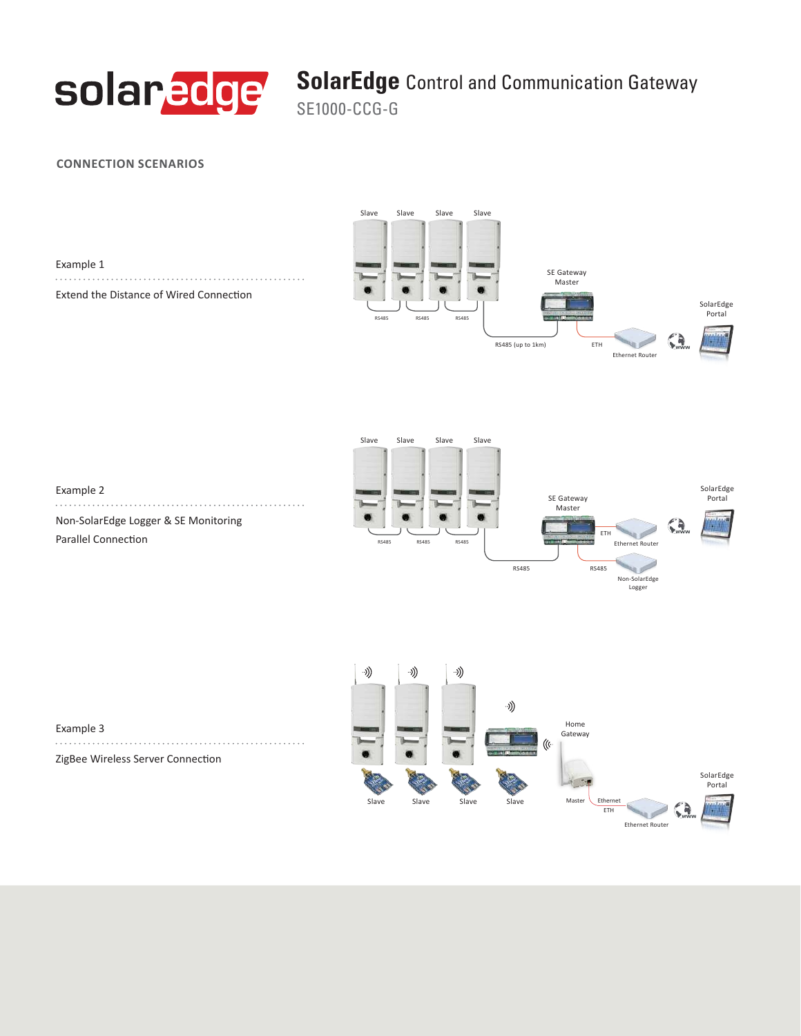

#### **SolarEdge** Control and Communication Gateway

SE1000-CCG-G

#### **CONNECTION SCENARIOS**

| Example 1                               |  |  |  |  |
|-----------------------------------------|--|--|--|--|
|                                         |  |  |  |  |
| Extend the Distance of Wired Connection |  |  |  |  |





Example 2 . . . . . . Non-SolarEdge Logger & SE Monitoring Parallel Connection



Example 3 ZigBee Wireless Server Connection